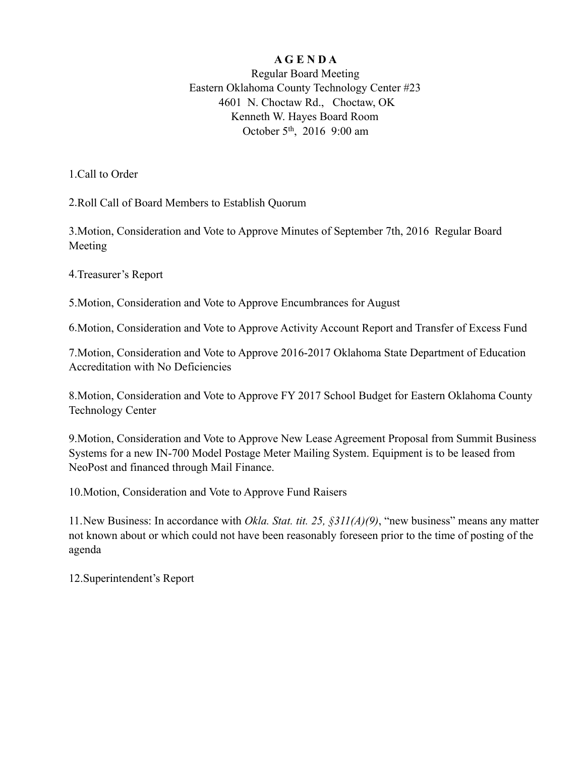## **A G E N D A**

Regular Board Meeting Eastern Oklahoma County Technology Center #23 4601 N. Choctaw Rd., Choctaw, OK Kenneth W. Hayes Board Room October 5<sup>th</sup>, 2016 9:00 am

1.Call to Order

2.Roll Call of Board Members to Establish Quorum

3.Motion, Consideration and Vote to Approve Minutes of September 7th, 2016 Regular Board Meeting

4.Treasurer's Report

5.Motion, Consideration and Vote to Approve Encumbrances for August

6.Motion, Consideration and Vote to Approve Activity Account Report and Transfer of Excess Fund

7.Motion, Consideration and Vote to Approve 2016-2017 Oklahoma State Department of Education Accreditation with No Deficiencies

8.Motion, Consideration and Vote to Approve FY 2017 School Budget for Eastern Oklahoma County Technology Center

9.Motion, Consideration and Vote to Approve New Lease Agreement Proposal from Summit Business Systems for a new IN-700 Model Postage Meter Mailing System. Equipment is to be leased from NeoPost and financed through Mail Finance.

10.Motion, Consideration and Vote to Approve Fund Raisers

11.New Business: In accordance with *Okla. Stat. tit. 25, §311(A)(9)*, "new business" means any matter not known about or which could not have been reasonably foreseen prior to the time of posting of the agenda

12.Superintendent's Report